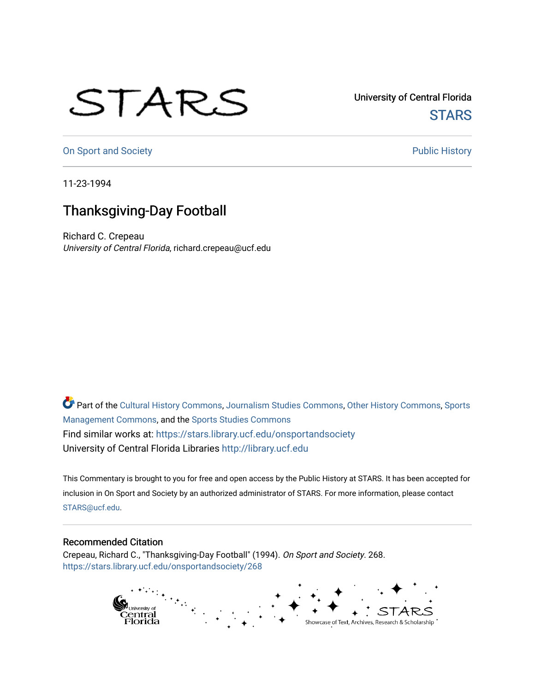## STARS

University of Central Florida **STARS** 

[On Sport and Society](https://stars.library.ucf.edu/onsportandsociety) **Public History** Public History

11-23-1994

## Thanksgiving-Day Football

Richard C. Crepeau University of Central Florida, richard.crepeau@ucf.edu

Part of the [Cultural History Commons](http://network.bepress.com/hgg/discipline/496?utm_source=stars.library.ucf.edu%2Fonsportandsociety%2F268&utm_medium=PDF&utm_campaign=PDFCoverPages), [Journalism Studies Commons,](http://network.bepress.com/hgg/discipline/333?utm_source=stars.library.ucf.edu%2Fonsportandsociety%2F268&utm_medium=PDF&utm_campaign=PDFCoverPages) [Other History Commons,](http://network.bepress.com/hgg/discipline/508?utm_source=stars.library.ucf.edu%2Fonsportandsociety%2F268&utm_medium=PDF&utm_campaign=PDFCoverPages) [Sports](http://network.bepress.com/hgg/discipline/1193?utm_source=stars.library.ucf.edu%2Fonsportandsociety%2F268&utm_medium=PDF&utm_campaign=PDFCoverPages) [Management Commons](http://network.bepress.com/hgg/discipline/1193?utm_source=stars.library.ucf.edu%2Fonsportandsociety%2F268&utm_medium=PDF&utm_campaign=PDFCoverPages), and the [Sports Studies Commons](http://network.bepress.com/hgg/discipline/1198?utm_source=stars.library.ucf.edu%2Fonsportandsociety%2F268&utm_medium=PDF&utm_campaign=PDFCoverPages) Find similar works at: <https://stars.library.ucf.edu/onsportandsociety> University of Central Florida Libraries [http://library.ucf.edu](http://library.ucf.edu/) 

This Commentary is brought to you for free and open access by the Public History at STARS. It has been accepted for inclusion in On Sport and Society by an authorized administrator of STARS. For more information, please contact [STARS@ucf.edu](mailto:STARS@ucf.edu).

## Recommended Citation

Crepeau, Richard C., "Thanksgiving-Day Football" (1994). On Sport and Society. 268. [https://stars.library.ucf.edu/onsportandsociety/268](https://stars.library.ucf.edu/onsportandsociety/268?utm_source=stars.library.ucf.edu%2Fonsportandsociety%2F268&utm_medium=PDF&utm_campaign=PDFCoverPages)

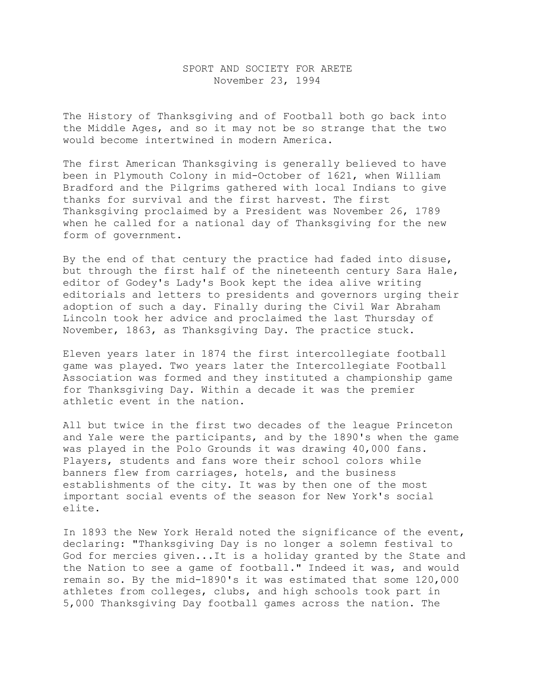## SPORT AND SOCIETY FOR ARETE November 23, 1994

The History of Thanksgiving and of Football both go back into the Middle Ages, and so it may not be so strange that the two would become intertwined in modern America.

The first American Thanksgiving is generally believed to have been in Plymouth Colony in mid-October of 1621, when William Bradford and the Pilgrims gathered with local Indians to give thanks for survival and the first harvest. The first Thanksgiving proclaimed by a President was November 26, 1789 when he called for a national day of Thanksgiving for the new form of government.

By the end of that century the practice had faded into disuse, but through the first half of the nineteenth century Sara Hale, editor of Godey's Lady's Book kept the idea alive writing editorials and letters to presidents and governors urging their adoption of such a day. Finally during the Civil War Abraham Lincoln took her advice and proclaimed the last Thursday of November, 1863, as Thanksgiving Day. The practice stuck.

Eleven years later in 1874 the first intercollegiate football game was played. Two years later the Intercollegiate Football Association was formed and they instituted a championship game for Thanksgiving Day. Within a decade it was the premier athletic event in the nation.

All but twice in the first two decades of the league Princeton and Yale were the participants, and by the 1890's when the game was played in the Polo Grounds it was drawing 40,000 fans. Players, students and fans wore their school colors while banners flew from carriages, hotels, and the business establishments of the city. It was by then one of the most important social events of the season for New York's social elite.

In 1893 the New York Herald noted the significance of the event, declaring: "Thanksgiving Day is no longer a solemn festival to God for mercies given...It is a holiday granted by the State and the Nation to see a game of football." Indeed it was, and would remain so. By the mid-1890's it was estimated that some 120,000 athletes from colleges, clubs, and high schools took part in 5,000 Thanksgiving Day football games across the nation. The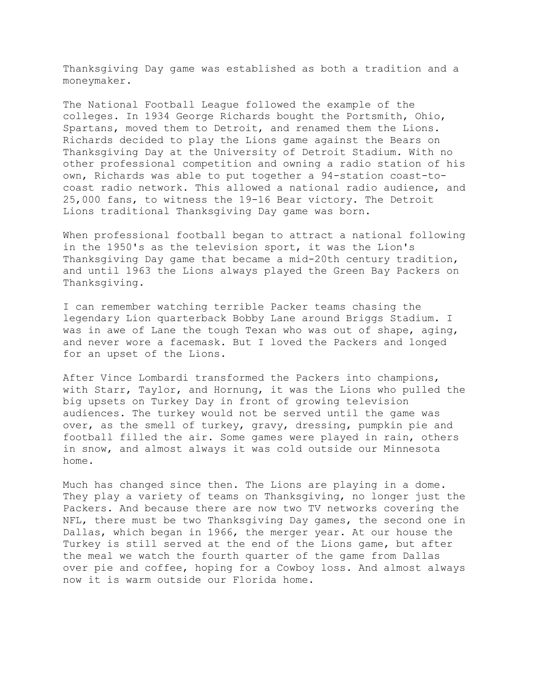Thanksgiving Day game was established as both a tradition and a moneymaker.

The National Football League followed the example of the colleges. In 1934 George Richards bought the Portsmith, Ohio, Spartans, moved them to Detroit, and renamed them the Lions. Richards decided to play the Lions game against the Bears on Thanksgiving Day at the University of Detroit Stadium. With no other professional competition and owning a radio station of his own, Richards was able to put together a 94-station coast-tocoast radio network. This allowed a national radio audience, and 25,000 fans, to witness the 19-16 Bear victory. The Detroit Lions traditional Thanksgiving Day game was born.

When professional football began to attract a national following in the 1950's as the television sport, it was the Lion's Thanksgiving Day game that became a mid-20th century tradition, and until 1963 the Lions always played the Green Bay Packers on Thanksgiving.

I can remember watching terrible Packer teams chasing the legendary Lion quarterback Bobby Lane around Briggs Stadium. I was in awe of Lane the tough Texan who was out of shape, aging, and never wore a facemask. But I loved the Packers and longed for an upset of the Lions.

After Vince Lombardi transformed the Packers into champions, with Starr, Taylor, and Hornung, it was the Lions who pulled the big upsets on Turkey Day in front of growing television audiences. The turkey would not be served until the game was over, as the smell of turkey, gravy, dressing, pumpkin pie and football filled the air. Some games were played in rain, others in snow, and almost always it was cold outside our Minnesota home.

Much has changed since then. The Lions are playing in a dome. They play a variety of teams on Thanksgiving, no longer just the Packers. And because there are now two TV networks covering the NFL, there must be two Thanksgiving Day games, the second one in Dallas, which began in 1966, the merger year. At our house the Turkey is still served at the end of the Lions game, but after the meal we watch the fourth quarter of the game from Dallas over pie and coffee, hoping for a Cowboy loss. And almost always now it is warm outside our Florida home.